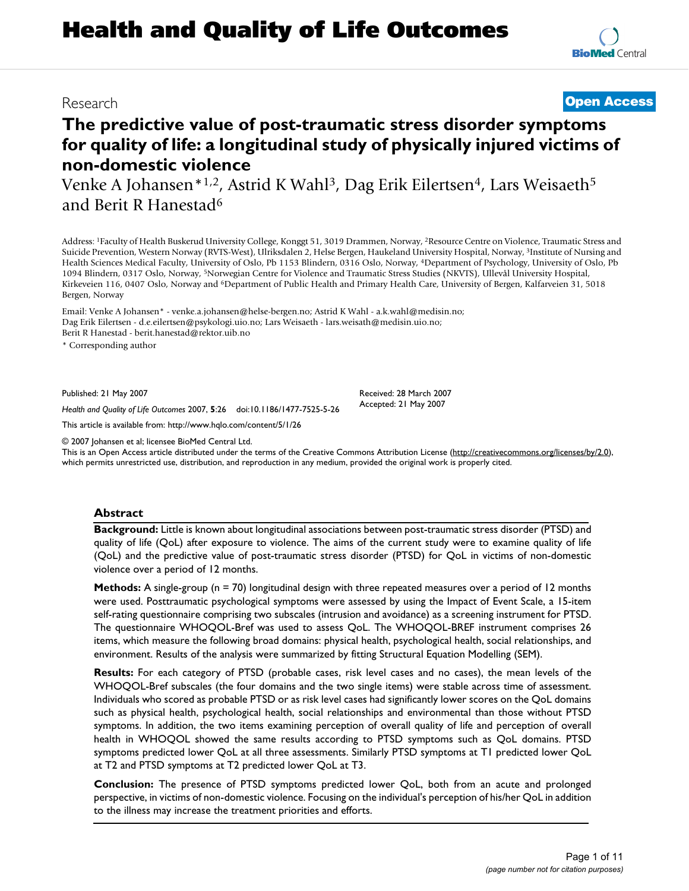# **Health and Quality of Life Outcomes**

## **The predictive value of post-traumatic stress disorder symptoms for quality of life: a longitudinal study of physically injured victims of non-domestic violence**

Venke A Johansen\*<sup>1,2</sup>, Astrid K Wahl<sup>3</sup>, Dag Erik Eilertsen<sup>4</sup>, Lars Weisaeth<sup>5</sup> and Berit R Hanestad6

Address: 1Faculty of Health Buskerud University College, Konggt 51, 3019 Drammen, Norway, 2Resource Centre on Violence, Traumatic Stress and Suicide Prevention, Western Norway (RVTS-West), Ulriksdalen 2, Helse Bergen, Haukeland University Hospital, Norway, 3Institute of Nursing and Health Sciences Medical Faculty, University of Oslo, Pb 1153 Blindern, 0316 Oslo, Norway, 4Department of Psychology, University of Oslo, Pb 1094 Blindern, 0317 Oslo, Norway, 5Norwegian Centre for Violence and Traumatic Stress Studies (NKVTS), Ullevål University Hospital, Kirkeveien 116, 0407 Oslo, Norway and 6Department of Public Health and Primary Health Care, University of Bergen, Kalfarveien 31, 5018 Bergen, Norway

Email: Venke A Johansen\* - venke.a.johansen@helse-bergen.no; Astrid K Wahl - a.k.wahl@medisin.no; Dag Erik Eilertsen - d.e.eilertsen@psykologi.uio.no; Lars Weisaeth - lars.weisath@medisin.uio.no; Berit R Hanestad - berit.hanestad@rektor.uib.no

\* Corresponding author

Published: 21 May 2007

*Health and Quality of Life Outcomes* 2007, **5**:26 doi:10.1186/1477-7525-5-26

[This article is available from: http://www.hqlo.com/content/5/1/26](http://www.hqlo.com/content/5/1/26)

© 2007 Johansen et al; licensee BioMed Central Ltd.

This is an Open Access article distributed under the terms of the Creative Commons Attribution License [\(http://creativecommons.org/licenses/by/2.0\)](http://creativecommons.org/licenses/by/2.0), which permits unrestricted use, distribution, and reproduction in any medium, provided the original work is properly cited.

#### **Abstract**

**Background:** Little is known about longitudinal associations between post-traumatic stress disorder (PTSD) and quality of life (QoL) after exposure to violence. The aims of the current study were to examine quality of life (QoL) and the predictive value of post-traumatic stress disorder (PTSD) for QoL in victims of non-domestic violence over a period of 12 months.

**Methods:** A single-group (n = 70) longitudinal design with three repeated measures over a period of 12 months were used. Posttraumatic psychological symptoms were assessed by using the Impact of Event Scale, a 15-item self-rating questionnaire comprising two subscales (intrusion and avoidance) as a screening instrument for PTSD. The questionnaire WHOQOL-Bref was used to assess QoL. The WHOQOL-BREF instrument comprises 26 items, which measure the following broad domains: physical health, psychological health, social relationships, and environment. Results of the analysis were summarized by fitting Structural Equation Modelling (SEM).

**Results:** For each category of PTSD (probable cases, risk level cases and no cases), the mean levels of the WHOQOL-Bref subscales (the four domains and the two single items) were stable across time of assessment. Individuals who scored as probable PTSD or as risk level cases had significantly lower scores on the QoL domains such as physical health, psychological health, social relationships and environmental than those without PTSD symptoms. In addition, the two items examining perception of overall quality of life and perception of overall health in WHOQOL showed the same results according to PTSD symptoms such as QoL domains. PTSD symptoms predicted lower QoL at all three assessments. Similarly PTSD symptoms at T1 predicted lower QoL at T2 and PTSD symptoms at T2 predicted lower QoL at T3.

**Conclusion:** The presence of PTSD symptoms predicted lower QoL, both from an acute and prolonged perspective, in victims of non-domestic violence. Focusing on the individual's perception of his/her QoL in addition to the illness may increase the treatment priorities and efforts.

### Research **[Open Access](http://www.biomedcentral.com/info/about/charter/)**

Received: 28 March 2007 Accepted: 21 May 2007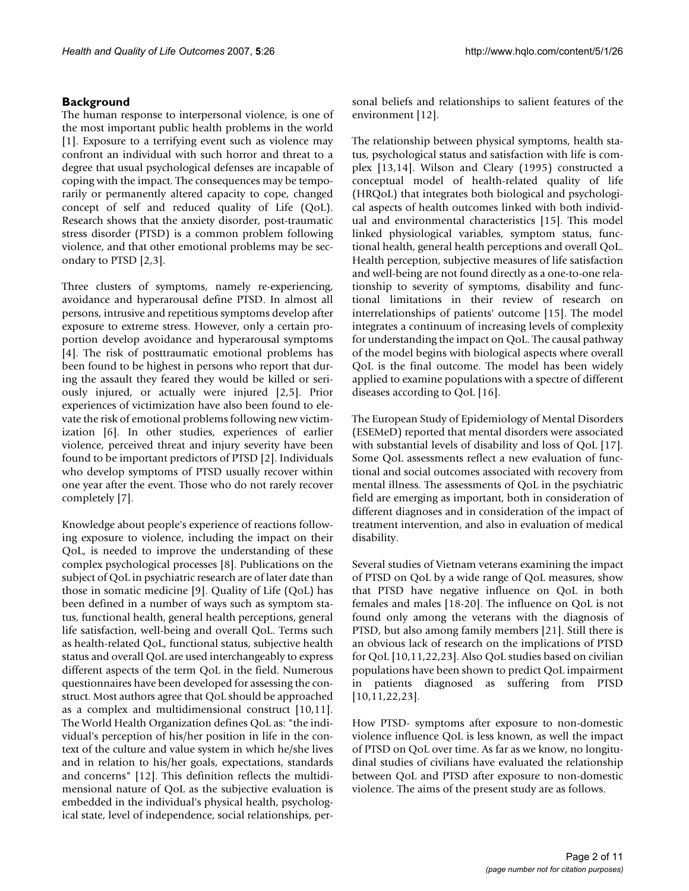#### **Background**

The human response to interpersonal violence, is one of the most important public health problems in the world [1]. Exposure to a terrifying event such as violence may confront an individual with such horror and threat to a degree that usual psychological defenses are incapable of coping with the impact. The consequences may be temporarily or permanently altered capacity to cope, changed concept of self and reduced quality of Life (QoL). Research shows that the anxiety disorder, post-traumatic stress disorder (PTSD) is a common problem following violence, and that other emotional problems may be secondary to PTSD [2,3].

Three clusters of symptoms, namely re-experiencing, avoidance and hyperarousal define PTSD. In almost all persons, intrusive and repetitious symptoms develop after exposure to extreme stress. However, only a certain proportion develop avoidance and hyperarousal symptoms [4]. The risk of posttraumatic emotional problems has been found to be highest in persons who report that during the assault they feared they would be killed or seriously injured, or actually were injured [2,5]. Prior experiences of victimization have also been found to elevate the risk of emotional problems following new victimization [6]. In other studies, experiences of earlier violence, perceived threat and injury severity have been found to be important predictors of PTSD [2]. Individuals who develop symptoms of PTSD usually recover within one year after the event. Those who do not rarely recover completely [7].

Knowledge about people's experience of reactions following exposure to violence, including the impact on their QoL, is needed to improve the understanding of these complex psychological processes [8]. Publications on the subject of QoL in psychiatric research are of later date than those in somatic medicine [9]. Quality of Life (QoL) has been defined in a number of ways such as symptom status, functional health, general health perceptions, general life satisfaction, well-being and overall QoL. Terms such as health-related QoL, functional status, subjective health status and overall QoL are used interchangeably to express different aspects of the term QoL in the field. Numerous questionnaires have been developed for assessing the construct. Most authors agree that QoL should be approached as a complex and multidimensional construct [10,11]. The World Health Organization defines QoL as: "the individual's perception of his/her position in life in the context of the culture and value system in which he/she lives and in relation to his/her goals, expectations, standards and concerns" [12]. This definition reflects the multidimensional nature of QoL as the subjective evaluation is embedded in the individual's physical health, psychological state, level of independence, social relationships, personal beliefs and relationships to salient features of the environment [12].

The relationship between physical symptoms, health status, psychological status and satisfaction with life is complex [13,14]. Wilson and Cleary (1995) constructed a conceptual model of health-related quality of life (HRQoL) that integrates both biological and psychological aspects of health outcomes linked with both individual and environmental characteristics [15]. This model linked physiological variables, symptom status, functional health, general health perceptions and overall QoL. Health perception, subjective measures of life satisfaction and well-being are not found directly as a one-to-one relationship to severity of symptoms, disability and functional limitations in their review of research on interrelationships of patients' outcome [15]. The model integrates a continuum of increasing levels of complexity for understanding the impact on QoL. The causal pathway of the model begins with biological aspects where overall QoL is the final outcome. The model has been widely applied to examine populations with a spectre of different diseases according to QoL [16].

The European Study of Epidemiology of Mental Disorders (ESEMeD) reported that mental disorders were associated with substantial levels of disability and loss of QoL [17]. Some QoL assessments reflect a new evaluation of functional and social outcomes associated with recovery from mental illness. The assessments of QoL in the psychiatric field are emerging as important, both in consideration of different diagnoses and in consideration of the impact of treatment intervention, and also in evaluation of medical disability.

Several studies of Vietnam veterans examining the impact of PTSD on QoL by a wide range of QoL measures, show that PTSD have negative influence on QoL in both females and males [18-20]. The influence on QoL is not found only among the veterans with the diagnosis of PTSD, but also among family members [21]. Still there is an obvious lack of research on the implications of PTSD for QoL [10,11,22,23]. Also QoL studies based on civilian populations have been shown to predict QoL impairment in patients diagnosed as suffering from PTSD [10,11,22,23].

How PTSD- symptoms after exposure to non-domestic violence influence QoL is less known, as well the impact of PTSD on QoL over time. As far as we know, no longitudinal studies of civilians have evaluated the relationship between QoL and PTSD after exposure to non-domestic violence. The aims of the present study are as follows.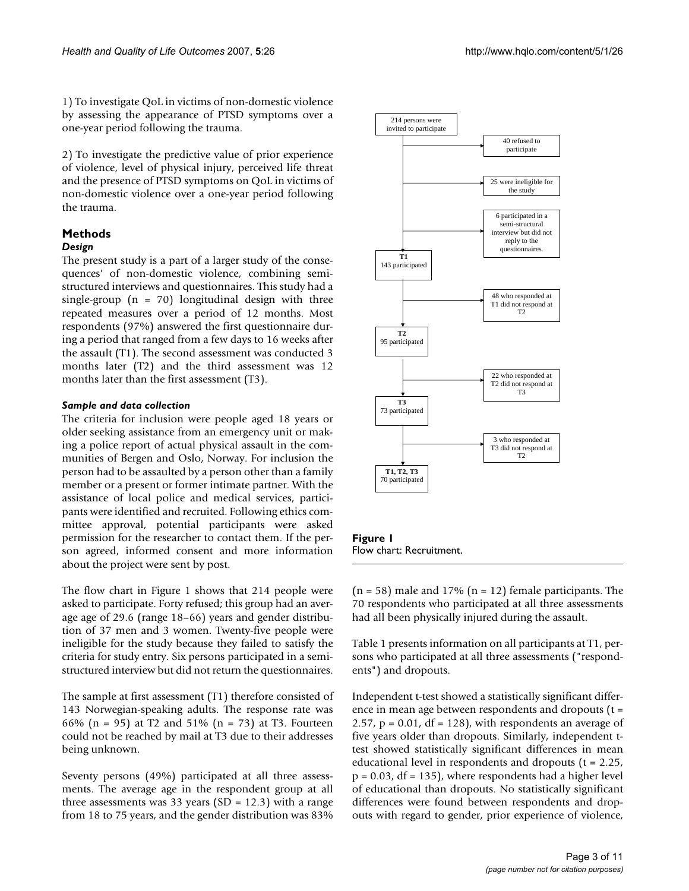1) To investigate QoL in victims of non-domestic violence by assessing the appearance of PTSD symptoms over a one-year period following the trauma.

2) To investigate the predictive value of prior experience of violence, level of physical injury, perceived life threat and the presence of PTSD symptoms on QoL in victims of non-domestic violence over a one-year period following the trauma.

#### **Methods** *Design*

The present study is a part of a larger study of the consequences' of non-domestic violence, combining semistructured interviews and questionnaires. This study had a single-group  $(n = 70)$  longitudinal design with three repeated measures over a period of 12 months. Most respondents (97%) answered the first questionnaire during a period that ranged from a few days to 16 weeks after the assault (T1). The second assessment was conducted 3 months later (T2) and the third assessment was 12 months later than the first assessment (T3).

#### *Sample and data collection*

The criteria for inclusion were people aged 18 years or older seeking assistance from an emergency unit or making a police report of actual physical assault in the communities of Bergen and Oslo, Norway. For inclusion the person had to be assaulted by a person other than a family member or a present or former intimate partner. With the assistance of local police and medical services, participants were identified and recruited. Following ethics committee approval, potential participants were asked permission for the researcher to contact them. If the person agreed, informed consent and more information about the project were sent by post.

The flow chart in Figure 1 shows that 214 people were asked to participate. Forty refused; this group had an average age of 29.6 (range 18–66) years and gender distribution of 37 men and 3 women. Twenty-five people were ineligible for the study because they failed to satisfy the criteria for study entry. Six persons participated in a semistructured interview but did not return the questionnaires.

The sample at first assessment (T1) therefore consisted of 143 Norwegian-speaking adults. The response rate was 66% (n = 95) at T2 and 51% (n = 73) at T3. Fourteen could not be reached by mail at T3 due to their addresses being unknown.

Seventy persons (49%) participated at all three assessments. The average age in the respondent group at all three assessments was 33 years ( $SD = 12.3$ ) with a range from 18 to 75 years, and the gender distribution was 83%



Flow chart: Recruitment.

 $(n = 58)$  male and 17%  $(n = 12)$  female participants. The 70 respondents who participated at all three assessments had all been physically injured during the assault.

Table 1 presents information on all participants at T1, persons who participated at all three assessments ("respondents") and dropouts.

Independent t-test showed a statistically significant difference in mean age between respondents and dropouts (t = 2.57,  $p = 0.01$ , df = 128), with respondents an average of five years older than dropouts. Similarly, independent ttest showed statistically significant differences in mean educational level in respondents and dropouts (t = 2.25, p = 0.03, df = 135), where respondents had a higher level of educational than dropouts. No statistically significant differences were found between respondents and dropouts with regard to gender, prior experience of violence,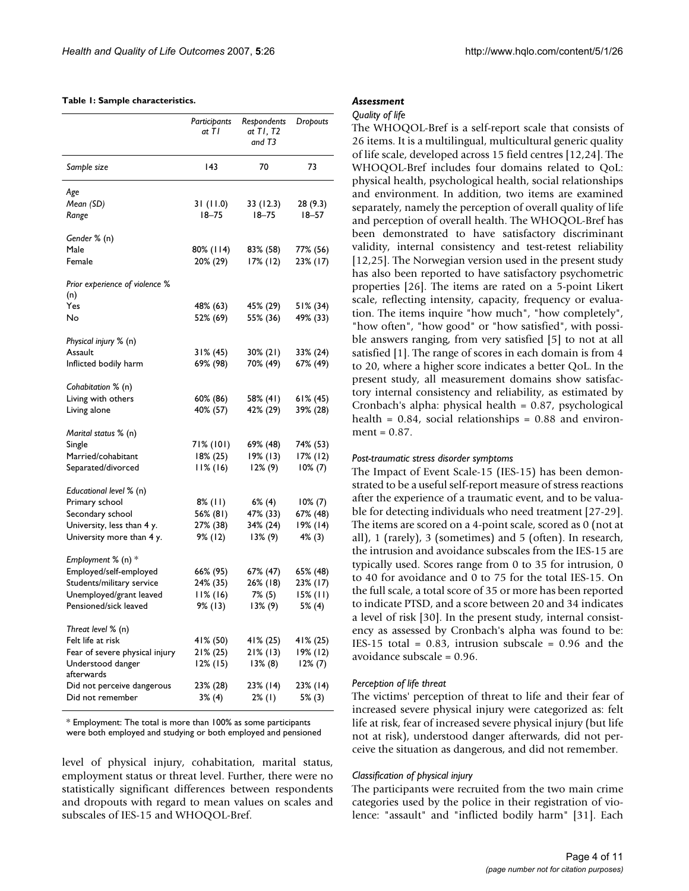#### **Table 1: Sample characteristics.**

|                                       | Participants<br>at TI | Respondents<br>at TI, T2<br>and T3 | Dropouts   |
|---------------------------------------|-----------------------|------------------------------------|------------|
| Sample size                           | 143                   | 70                                 | 73         |
| Age                                   |                       |                                    |            |
| Mean (SD)                             | 31(11.0)              | 33 (12.3)                          | 28 (9.3)   |
| Range                                 | $18 - 75$             | $18 - 75$                          | $18 - 57$  |
| Gender % (n)                          |                       |                                    |            |
| Male                                  | 80% (114)             | 83% (58)                           | 77% (56)   |
| Female                                | 20% (29)              | $17%$ (12)                         | 23% (17)   |
| Prior experience of violence %<br>(n) |                       |                                    |            |
| Yes                                   | 48% (63)              | 45% (29)                           | 51% (34)   |
| No                                    | 52% (69)              | 55% (36)                           | 49% (33)   |
| Physical injury % (n)                 |                       |                                    |            |
| Assault                               | $31\% (45)$           | $30\%$ (21)                        | 33% (24)   |
| Inflicted bodily harm                 | 69% (98)              | 70% (49)                           | 67% (49)   |
|                                       |                       |                                    |            |
| Cohabitation % (n)                    |                       |                                    |            |
| Living with others                    | 60% (86)              | 58% (41)                           | 61% (45)   |
| Living alone                          | 40% (57)              | 42% (29)                           | 39% (28)   |
| Marital status % (n)                  |                       |                                    |            |
| Single                                | 71% (101)             | 69% (48)                           | 74% (53)   |
| Married/cohabitant                    | $18\% (25)$           | $19\%$ (13)                        | 17% (12)   |
| Separated/divorced                    | 11% (16)              | $12\%$ (9)                         | $10\% (7)$ |
| Educational level % (n)               |                       |                                    |            |
| Primary school                        | $8\%$ (11)            | 6% (4)                             | $10\% (7)$ |
| Secondary school                      | 56% (81)              | 47% (33)                           | 67% (48)   |
| University, less than 4 y.            | 27% (38)              | 34% (24)                           | 19% (14)   |
| University more than 4 y.             | 9% (12)               | I 3% (9)                           | 4% (3)     |
| Employment % (n) *                    |                       |                                    |            |
| Employed/self-employed                | 66% (95)              | 67% (47)                           | 65% (48)   |
| Students/military service             | 24% (35)              | 26% (18)                           | 23% (17)   |
| Unemployed/grant leaved               | $11%$ (16)            | 7% (5)                             | 15% (11)   |
| Pensioned/sick leaved                 | 9% (13)               | 13% (9)                            | $5%$ (4)   |
| Threat level % (n)                    |                       |                                    |            |
| Felt life at risk                     | 41% (50)              | 41% (25)                           | 41% (25)   |
| Fear of severe physical injury        | 21% (25)              | 21% (13)                           | 19% (12)   |
| Understood danger<br>afterwards       | $12\%$ (15)           | 13% (8)                            | 12% (7)    |
| Did not perceive dangerous            | 23% (28)              | 23% (14)                           | 23% (14)   |
| Did not remember                      | 3% (4)                | 2% (I)                             | 5% (3)     |
|                                       |                       |                                    |            |

\* Employment: The total is more than 100% as some participants were both employed and studying or both employed and pensioned

level of physical injury, cohabitation, marital status, employment status or threat level. Further, there were no statistically significant differences between respondents and dropouts with regard to mean values on scales and subscales of IES-15 and WHOQOL-Bref.

#### *Assessment*

#### *Quality of life*

The WHOQOL-Bref is a self-report scale that consists of 26 items. It is a multilingual, multicultural generic quality of life scale, developed across 15 field centres [12,24]. The WHOQOL-Bref includes four domains related to QoL: physical health, psychological health, social relationships and environment. In addition, two items are examined separately, namely the perception of overall quality of life and perception of overall health. The WHOQOL-Bref has been demonstrated to have satisfactory discriminant validity, internal consistency and test-retest reliability [12,25]. The Norwegian version used in the present study has also been reported to have satisfactory psychometric properties [26]. The items are rated on a 5-point Likert scale, reflecting intensity, capacity, frequency or evaluation. The items inquire "how much", "how completely", "how often", "how good" or "how satisfied", with possible answers ranging, from very satisfied [5] to not at all satisfied [1]. The range of scores in each domain is from 4 to 20, where a higher score indicates a better QoL. In the present study, all measurement domains show satisfactory internal consistency and reliability, as estimated by Cronbach's alpha: physical health = 0.87, psychological health =  $0.84$ , social relationships =  $0.88$  and environment =  $0.87$ .

#### *Post-traumatic stress disorder symptoms*

The Impact of Event Scale-15 (IES-15) has been demonstrated to be a useful self-report measure of stress reactions after the experience of a traumatic event, and to be valuable for detecting individuals who need treatment [27-29]. The items are scored on a 4-point scale, scored as 0 (not at all), 1 (rarely), 3 (sometimes) and 5 (often). In research, the intrusion and avoidance subscales from the IES-15 are typically used. Scores range from 0 to 35 for intrusion, 0 to 40 for avoidance and 0 to 75 for the total IES-15. On the full scale, a total score of 35 or more has been reported to indicate PTSD, and a score between 20 and 34 indicates a level of risk [30]. In the present study, internal consistency as assessed by Cronbach's alpha was found to be: IES-15 total =  $0.83$ , intrusion subscale =  $0.96$  and the avoidance subscale = 0.96.

#### *Perception of life threat*

The victims' perception of threat to life and their fear of increased severe physical injury were categorized as: felt life at risk, fear of increased severe physical injury (but life not at risk), understood danger afterwards, did not perceive the situation as dangerous, and did not remember.

#### *Classification of physical injury*

The participants were recruited from the two main crime categories used by the police in their registration of violence: "assault" and "inflicted bodily harm" [31]. Each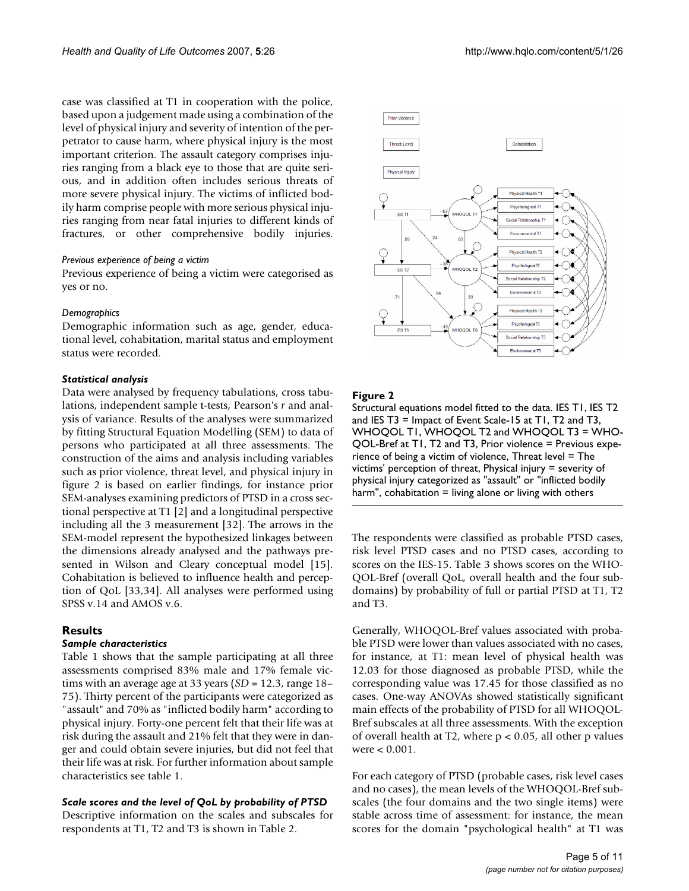case was classified at T1 in cooperation with the police, based upon a judgement made using a combination of the level of physical injury and severity of intention of the perpetrator to cause harm, where physical injury is the most important criterion. The assault category comprises injuries ranging from a black eye to those that are quite serious, and in addition often includes serious threats of more severe physical injury. The victims of inflicted bodily harm comprise people with more serious physical injuries ranging from near fatal injuries to different kinds of fractures, or other comprehensive bodily injuries.

#### *Previous experience of being a victim*

Previous experience of being a victim were categorised as yes or no.

#### *Demographics*

Demographic information such as age, gender, educational level, cohabitation, marital status and employment status were recorded.

#### *Statistical analysis*

Data were analysed by frequency tabulations, cross tabulations, independent sample t-tests, Pearson's *r* and analysis of variance. Results of the analyses were summarized by fitting Structural Equation Modelling (SEM) to data of persons who participated at all three assessments. The construction of the aims and analysis including variables such as prior violence, threat level, and physical injury in figure 2 is based on earlier findings, for instance prior SEM-analyses examining predictors of PTSD in a cross sectional perspective at T1 [2] and a longitudinal perspective including all the 3 measurement [32]. The arrows in the SEM-model represent the hypothesized linkages between the dimensions already analysed and the pathways presented in Wilson and Cleary conceptual model [15]. Cohabitation is believed to influence health and perception of QoL [33,34]. All analyses were performed using SPSS v.14 and AMOS v.6.

#### **Results**

#### *Sample characteristics*

Table 1 shows that the sample participating at all three assessments comprised 83% male and 17% female victims with an average age at 33 years (*SD* = 12.3, range 18– 75). Thirty percent of the participants were categorized as "assault" and 70% as "inflicted bodily harm" according to physical injury. Forty-one percent felt that their life was at risk during the assault and 21% felt that they were in danger and could obtain severe injuries, but did not feel that their life was at risk. For further information about sample characteristics see table 1.

#### *Scale scores and the level of QoL by probability of PTSD*

Descriptive information on the scales and subscales for respondents at T1, T2 and T3 is shown in Table 2.





#### **Figure 2**

**Prior Violence** 

Structural equations model fitted to the data. IES T1, IES T2 and IES T3 = Impact of Event Scale-15 at T1, T2 and T3, WHOQOL T1, WHOQOL T2 and WHOQOL T3 = WHO-QOL-Bref at T1, T2 and T3, Prior violence = Previous experience of being a victim of violence, Threat level = The victims' perception of threat, Physical injury = severity of physical injury categorized as "assault" or "inflicted bodily harm", cohabitation  $=$  living alone or living with others

The respondents were classified as probable PTSD cases, risk level PTSD cases and no PTSD cases, according to scores on the IES-15. Table 3 shows scores on the WHO-QOL-Bref (overall QoL, overall health and the four subdomains) by probability of full or partial PTSD at T1, T2 and T3.

Generally, WHOQOL-Bref values associated with probable PTSD were lower than values associated with no cases, for instance, at T1: mean level of physical health was 12.03 for those diagnosed as probable PTSD, while the corresponding value was 17.45 for those classified as no cases. One-way ANOVAs showed statistically significant main effects of the probability of PTSD for all WHOQOL-Bref subscales at all three assessments. With the exception of overall health at T2, where  $p < 0.05$ , all other p values were < 0.001.

For each category of PTSD (probable cases, risk level cases and no cases), the mean levels of the WHOQOL-Bref subscales (the four domains and the two single items) were stable across time of assessment: for instance, the mean scores for the domain "psychological health" at T1 was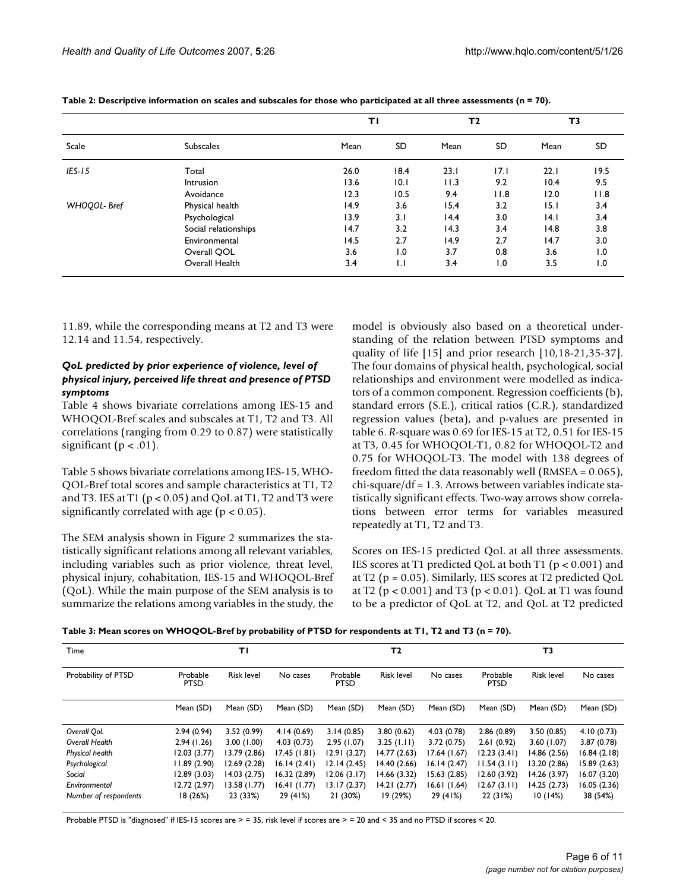|             |                      | ΤI   |              | T <sub>2</sub> |           | T3   |                  |
|-------------|----------------------|------|--------------|----------------|-----------|------|------------------|
| Scale       | <b>Subscales</b>     | Mean | SD           | Mean           | <b>SD</b> | Mean | SD               |
| $IES-15$    | Total                | 26.0 | 18.4         | 23.1           | 17.1      | 22.1 | 19.5             |
|             | <b>Intrusion</b>     | 13.6 | 10.1         | 11.3           | 9.2       | 10.4 | 9.5              |
|             | Avoidance            | 12.3 | 10.5         | 9.4            | 11.8      | 12.0 | 11.8             |
| WHOQOL-Bref | Physical health      | 14.9 | 3.6          | 15.4           | 3.2       | 15.1 | 3.4              |
|             | Psychological        | 13.9 | 3.1          | 14.4           | 3.0       | 4.1  | 3.4              |
|             | Social relationships | 14.7 | 3.2          | 14.3           | 3.4       | 14.8 | 3.8              |
|             | Environmental        | 14.5 | 2.7          | 14.9           | 2.7       | 14.7 | 3.0              |
|             | Overall QOL          | 3.6  | 1.0          | 3.7            | 0.8       | 3.6  | $\overline{1.0}$ |
|             | Overall Health       | 3.4  | $\mathsf{L}$ | 3.4            | 1.0       | 3.5  | 1.0              |

**Table 2: Descriptive information on scales and subscales for those who participated at all three assessments (n = 70).**

11.89, while the corresponding means at T2 and T3 were 12.14 and 11.54, respectively.

#### *QoL predicted by prior experience of violence, level of physical injury, perceived life threat and presence of PTSD symptoms*

Table 4 shows bivariate correlations among IES-15 and WHOQOL-Bref scales and subscales at T1, T2 and T3. All correlations (ranging from 0.29 to 0.87) were statistically significant ( $p < .01$ ).

Table 5 shows bivariate correlations among IES-15, WHO-QOL-Bref total scores and sample characteristics at T1, T2 and T3. IES at T1 ( $p < 0.05$ ) and QoL at T1, T2 and T3 were significantly correlated with age ( $p < 0.05$ ).

The SEM analysis shown in Figure 2 summarizes the statistically significant relations among all relevant variables, including variables such as prior violence, threat level, physical injury, cohabitation, IES-15 and WHOQOL-Bref (QoL). While the main purpose of the SEM analysis is to summarize the relations among variables in the study, the model is obviously also based on a theoretical understanding of the relation between PTSD symptoms and quality of life [15] and prior research [10,18-21,35-37]. The four domains of physical health, psychological, social relationships and environment were modelled as indicators of a common component. Regression coefficients (b), standard errors (S.E.), critical ratios (C.R.), standardized regression values (beta), and p-values are presented in table 6. *R*-square was 0.69 for IES-15 at T2, 0.51 for IES-15 at T3, 0.45 for WHOQOL-T1, 0.82 for WHOQOL-T2 and 0.75 for WHOQOL-T3. The model with 138 degrees of freedom fitted the data reasonably well (RMSEA = 0.065), chi-square/df = 1.3. Arrows between variables indicate statistically significant effects. Two-way arrows show correlations between error terms for variables measured repeatedly at T1, T2 and T3.

Scores on IES-15 predicted QoL at all three assessments. IES scores at T1 predicted QoL at both T1 (p < 0.001) and at T2 ( $p = 0.05$ ). Similarly, IES scores at T2 predicted QoL at T2 ( $p < 0.001$ ) and T3 ( $p < 0.01$ ). QoL at T1 was found to be a predictor of QoL at T2, and QoL at T2 predicted

| Time                   |                         | ΤI                |              |                         | T <sub>2</sub>    |              |                         | T3                |             |
|------------------------|-------------------------|-------------------|--------------|-------------------------|-------------------|--------------|-------------------------|-------------------|-------------|
| Probability of PTSD    | Probable<br><b>PTSD</b> | <b>Risk level</b> | No cases     | Probable<br><b>PTSD</b> | <b>Risk level</b> | No cases     | Probable<br><b>PTSD</b> | <b>Risk level</b> | No cases    |
|                        | Mean (SD)               | Mean (SD)         | Mean (SD)    | Mean (SD)               | Mean (SD)         | Mean (SD)    | Mean (SD)               | Mean (SD)         | Mean (SD)   |
| Overall OoL            | 2.94(0.94)              | 3.52(0.99)        | 4.14(0.69)   | 3.14(0.85)              | 3.80(0.62)        | 4.03(0.78)   | 2.86(0.89)              | 3.50(0.85)        | 4.10(0.73)  |
| Overall Health         | 2.94(1.26)              | 3.00(1.00)        | 4.03(0.73)   | 2.95(1.07)              | 3.25(1.11)        | 3.72(0.75)   | 2.61(0.92)              | 3.60(1.07)        | 3.87(0.78)  |
| <b>Physical health</b> | 12.03(3.77)             | 13.79 (2.86)      | 17.45(1.81)  | 12.91(3.27)             | 14.77(2.63)       | 17.64(1.67)  | 12.23(3.41)             | 14.86 (2.56)      | 16.84(2.18) |
| Psychological          | 11.89(2.90)             | 12.69 (2.28)      | 16.14(2.41)  | 12.14(2.45)             | 14.40(2.66)       | 16.14(2.47)  | 11.54(3.11)             | 13.20 (2.86)      | 15.89(2.63) |
| Social                 | 12.89(3.03)             | 14.03 (2.75)      | 16.32(2.89)  | 12.06(3.17)             | 14.66(3.32)       | 15.63 (2.85) | 12.60(3.92)             | 14.26(3.97)       | 16.07(3.20) |
| Environmental          | 12.72 (2.97)            | 13.58 (1.77)      | 16.41 (1.77) | 13.17(2.37)             | 14.21(2.77)       | 16.61 (1.64) | 12.67(3.11)             | 14.25(2.73)       | 16.05(2.36) |
| Number of respondents  | 18(26%)                 | 23 (33%)          | 29 (41%)     | 21 (30%)                | 19 (29%)          | 29 (41%)     | 22 (31%)                | 10(14%)           | 38 (54%)    |

Probable PTSD is "diagnosed" if IES-15 scores are > = 35, risk level if scores are > = 20 and < 35 and no PTSD if scores < 20.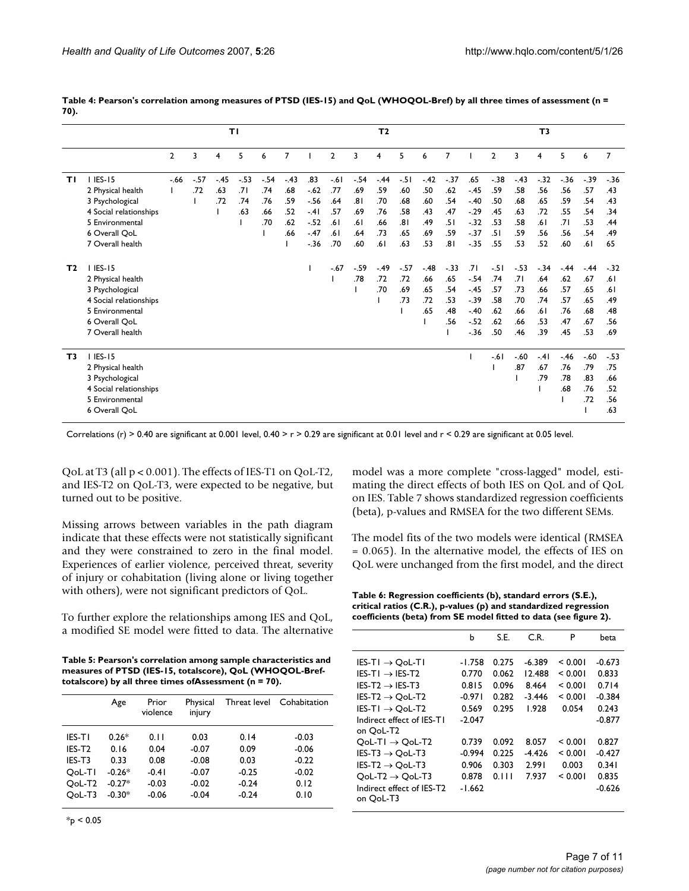|                |                        |                |       |        | TΙ    |        |        |        |                |        | T <sub>2</sub> |       |        |       |        |       |        | T <sub>3</sub> |       |         |                |
|----------------|------------------------|----------------|-------|--------|-------|--------|--------|--------|----------------|--------|----------------|-------|--------|-------|--------|-------|--------|----------------|-------|---------|----------------|
|                |                        | $\overline{2}$ | 3     | 4      | 5     | 6      | 7      |        | $\overline{2}$ | 3      | 4              | 5     | 6      | 7     |        | 2     | 3      | 4              | 5     | 6       | $\overline{7}$ |
| ΤI             | 1 IES-15               | $-66$          | $-57$ | $-.45$ | $-53$ | $-.54$ | $-.43$ | .83    | $-61$          | $-.54$ | $-44$          | $-51$ | $-.42$ | $-37$ | .65    | $-38$ | $-43$  | $-32$          | $-36$ | $-0.39$ | $-36$          |
|                | 2 Physical health      |                | .72   | .63    | .7 I  | .74    | .68    | $-.62$ | .77            | .69    | .59            | .60   | .50    | .62   | $-.45$ | .59   | .58    | .56            | .56   | .57     | .43            |
|                | 3 Psychological        |                |       | .72    | .74   | .76    | .59    | $-56$  | .64            | .81    | .70            | .68   | .60    | .54   | $-.40$ | .50   | .68    | .65            | .59   | .54     | .43            |
|                | 4 Social relationships |                |       |        | .63   | .66    | .52    | $-41$  | .57            | .69    | .76            | .58   | .43    | .47   | $-29$  | .45   | .63    | .72            | .55   | .54     | .34            |
|                | 5 Environmental        |                |       |        |       | .70    | .62    | $-.52$ | .61            | .61    | .66            | .81   | .49    | .51   | $-32$  | .53   | .58    | .61            | .71   | .53     | .44            |
|                | 6 Overall OoL          |                |       |        |       |        | .66    | $-.47$ | .61            | .64    | .73            | .65   | .69    | .59   | $-37$  | .51   | .59    | .56            | .56   | .54     | .49            |
|                | 7 Overall health       |                |       |        |       |        |        | $-36$  | .70            | .60    | .61            | .63   | .53    | .81   | $-35$  | .55   | .53    | .52            | .60   | .61     | 65             |
| T <sub>2</sub> | 1 IES-15               |                |       |        |       |        |        |        | $-.67$         | $-.59$ | $-49$          | $-57$ | $-.48$ | $-33$ | .71    | $-51$ | $-53$  | $-.34$         | $-44$ | $-.44$  | $-32$          |
|                | 2 Physical health      |                |       |        |       |        |        |        |                | .78    | .72            | .72   | .66    | .65   | $-.54$ | .74   | .71    | .64            | .62   | .67     | .61            |
|                | 3 Psychological        |                |       |        |       |        |        |        |                |        | .70            | .69   | .65    | .54   | $-.45$ | .57   | .73    | .66            | .57   | .65     | .61            |
|                | 4 Social relationships |                |       |        |       |        |        |        |                |        |                | .73   | .72    | .53   | $-39$  | .58   | .70    | .74            | .57   | .65     | .49            |
|                | 5 Environmental        |                |       |        |       |        |        |        |                |        |                |       | .65    | .48   | $-.40$ | .62   | .66    | .61            | .76   | .68     | .48            |
|                | 6 Overall QoL          |                |       |        |       |        |        |        |                |        |                |       |        | .56   | $-52$  | .62   | .66    | .53            | .47   | .67     | .56            |
|                | 7 Overall health       |                |       |        |       |        |        |        |                |        |                |       |        |       | $-36$  | .50   | .46    | .39            | .45   | .53     | .69            |
| T3             | 1 IES-15               |                |       |        |       |        |        |        |                |        |                |       |        |       |        | $-61$ | $-.60$ | $-41$          | $-46$ | $-.60$  | $-53$          |
|                | 2 Physical health      |                |       |        |       |        |        |        |                |        |                |       |        |       |        |       | .87    | .67            | .76   | .79     | .75            |
|                | 3 Psychological        |                |       |        |       |        |        |        |                |        |                |       |        |       |        |       |        | .79            | .78   | .83     | .66            |
|                | 4 Social relationships |                |       |        |       |        |        |        |                |        |                |       |        |       |        |       |        |                | .68   | .76     | .52            |
|                | 5 Environmental        |                |       |        |       |        |        |        |                |        |                |       |        |       |        |       |        |                |       | .72     | .56            |
|                | 6 Overall OoL          |                |       |        |       |        |        |        |                |        |                |       |        |       |        |       |        |                |       |         | .63            |
|                |                        |                |       |        |       |        |        |        |                |        |                |       |        |       |        |       |        |                |       |         |                |

**Table 4: Pearson's correlation among measures of PTSD (IES-15) and QoL (WHOQOL-Bref) by all three times of assessment (n = 70).**

Correlations (r) > 0.40 are significant at 0.001 level, 0.40 > r > 0.29 are significant at 0.01 level and r < 0.29 are significant at 0.05 level.

QoL at T3 (all p < 0.001). The effects of IES-T1 on QoL-T2, and IES-T2 on QoL-T3, were expected to be negative, but turned out to be positive.

Missing arrows between variables in the path diagram indicate that these effects were not statistically significant and they were constrained to zero in the final model. Experiences of earlier violence, perceived threat, severity of injury or cohabitation (living alone or living together with others), were not significant predictors of QoL.

To further explore the relationships among IES and QoL, a modified SE model were fitted to data. The alternative

| Table 5: Pearson's correlation among sample characteristics and |
|-----------------------------------------------------------------|
| measures of PTSD (IES-15, totalscore), QoL (WHOQOL-Bref-        |
| totalscore) by all three times of Assessment ( $n = 70$ ).      |

|                    | Age      | Prior<br>violence | Physical<br>injury |         | Threat level Cohabitation |
|--------------------|----------|-------------------|--------------------|---------|---------------------------|
| IES-TI             | $0.26*$  | 0.11              | 0.03               | 0.14    | $-0.03$                   |
| IFS-T2             | 0.16     | 0.04              | $-0.07$            | 0.09    | $-0.06$                   |
| IES-T3             | 0.33     | 0.08              | $-0.08$            | 0.03    | $-0.22$                   |
| OoL-TI             | $-0.26*$ | $-0.41$           | $-0.07$            | $-0.25$ | $-0.02$                   |
| OoL-T <sub>2</sub> | $-0.27*$ | $-0.03$           | $-0.02$            | $-0.24$ | 0.12                      |
| OoL-T3             | $-0.30*$ | $-0.06$           | $-0.04$            | $-0.24$ | 0.10                      |

 $*_{p}$  < 0.05

model was a more complete "cross-lagged" model, estimating the direct effects of both IES on QoL and of QoL on IES. Table 7 shows standardized regression coefficients (beta), p-values and RMSEA for the two different SEMs.

The model fits of the two models were identical (RMSEA = 0.065). In the alternative model, the effects of IES on QoL were unchanged from the first model, and the direct

**Table 6: Regression coefficients (b), standard errors (S.E.), critical ratios (C.R.), p-values (p) and standardized regression coefficients (beta) from SE model fitted to data (see figure 2).**

| b                                                                                                            | S.E.                                                                          | C.R.                                                                                  | P                                                                                           | beta                                                                                                           |
|--------------------------------------------------------------------------------------------------------------|-------------------------------------------------------------------------------|---------------------------------------------------------------------------------------|---------------------------------------------------------------------------------------------|----------------------------------------------------------------------------------------------------------------|
| $-1.758$<br>0.770<br>0.815<br>$-0.971$<br>0.569<br>$-2.047$<br>0.739<br>$-0.994$<br>0.906<br>0.878<br>-1.662 | 0.275<br>0.062<br>0.096<br>0.282<br>0.295<br>0.092<br>0.225<br>0.303<br>0.111 | -6.389<br>12.488<br>8.464<br>$-3.446$<br>1.928<br>8.057<br>$-4.426$<br>2.991<br>7.937 | < 0.001<br>< 0.001<br>< 0.001<br>< 0.001<br>0.054<br>< 0.001<br>< 0.001<br>0.003<br>< 0.001 | $-0.673$<br>0.833<br>0.714<br>$-0.384$<br>0.243<br>$-0.877$<br>0.827<br>$-0.427$<br>0.341<br>0.835<br>$-0.626$ |
|                                                                                                              |                                                                               |                                                                                       |                                                                                             |                                                                                                                |
|                                                                                                              |                                                                               |                                                                                       |                                                                                             |                                                                                                                |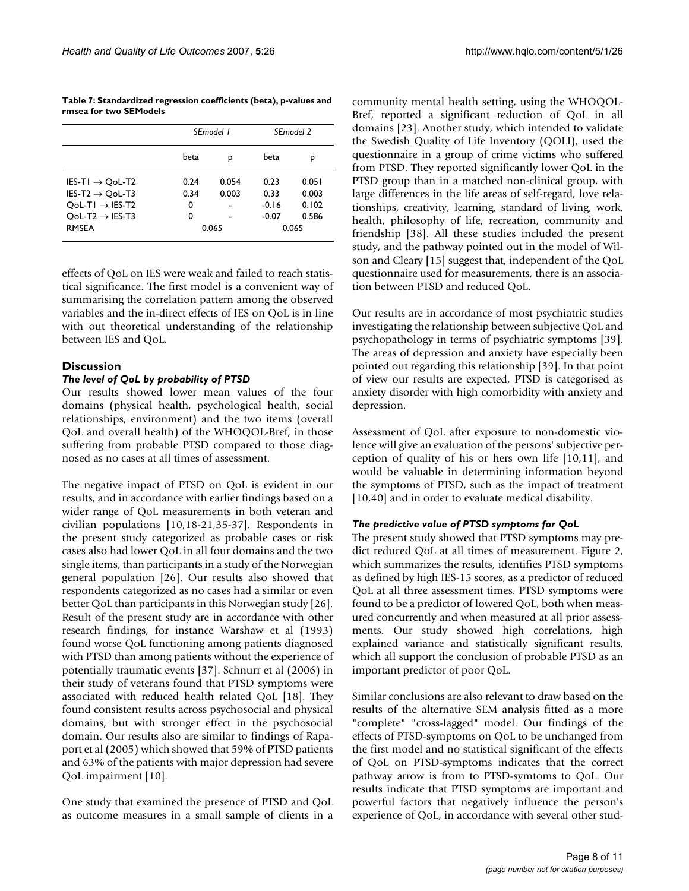**Table 7: Standardized regression coefficients (beta), p-values and rmsea for two SEModels**

|                             |      | SEmodel 1 | SEmodel 2 |       |  |  |
|-----------------------------|------|-----------|-----------|-------|--|--|
|                             | beta | р         | beta      | p     |  |  |
| $IES-TI \rightarrow QoL-T2$ | 0.24 | 0.054     | 0.23      | 0.051 |  |  |
| IES-T2 $\rightarrow$ OoL-T3 | 0.34 | 0.003     | 0.33      | 0.003 |  |  |
| $QoL-TI \rightarrow IES-T2$ | 0    |           | $-0.16$   | 0.102 |  |  |
| $QoL-T2 \rightarrow IES-T3$ | 0    |           | $-0.07$   | 0.586 |  |  |
| <b>RMSEA</b>                |      | 0.065     | 0.065     |       |  |  |

effects of QoL on IES were weak and failed to reach statistical significance. The first model is a convenient way of summarising the correlation pattern among the observed variables and the in-direct effects of IES on QoL is in line with out theoretical understanding of the relationship between IES and QoL.

#### **Discussion**

#### *The level of QoL by probability of PTSD*

Our results showed lower mean values of the four domains (physical health, psychological health, social relationships, environment) and the two items (overall QoL and overall health) of the WHOQOL-Bref, in those suffering from probable PTSD compared to those diagnosed as no cases at all times of assessment.

The negative impact of PTSD on QoL is evident in our results, and in accordance with earlier findings based on a wider range of QoL measurements in both veteran and civilian populations [10,18-21,35-37]. Respondents in the present study categorized as probable cases or risk cases also had lower QoL in all four domains and the two single items, than participants in a study of the Norwegian general population [26]. Our results also showed that respondents categorized as no cases had a similar or even better QoL than participants in this Norwegian study [26]. Result of the present study are in accordance with other research findings, for instance Warshaw et al (1993) found worse QoL functioning among patients diagnosed with PTSD than among patients without the experience of potentially traumatic events [37]. Schnurr et al (2006) in their study of veterans found that PTSD symptoms were associated with reduced health related QoL [18]. They found consistent results across psychosocial and physical domains, but with stronger effect in the psychosocial domain. Our results also are similar to findings of Rapaport et al (2005) which showed that 59% of PTSD patients and 63% of the patients with major depression had severe QoL impairment [10].

One study that examined the presence of PTSD and QoL as outcome measures in a small sample of clients in a community mental health setting, using the WHOQOL-Bref, reported a significant reduction of QoL in all domains [23]. Another study, which intended to validate the Swedish Quality of Life Inventory (QOLI), used the questionnaire in a group of crime victims who suffered from PTSD. They reported significantly lower QoL in the PTSD group than in a matched non-clinical group, with large differences in the life areas of self-regard, love relationships, creativity, learning, standard of living, work, health, philosophy of life, recreation, community and friendship [38]. All these studies included the present study, and the pathway pointed out in the model of Wilson and Cleary [15] suggest that, independent of the QoL questionnaire used for measurements, there is an association between PTSD and reduced QoL.

Our results are in accordance of most psychiatric studies investigating the relationship between subjective QoL and psychopathology in terms of psychiatric symptoms [39]. The areas of depression and anxiety have especially been pointed out regarding this relationship [39]. In that point of view our results are expected, PTSD is categorised as anxiety disorder with high comorbidity with anxiety and depression.

Assessment of QoL after exposure to non-domestic violence will give an evaluation of the persons' subjective perception of quality of his or hers own life [10,11], and would be valuable in determining information beyond the symptoms of PTSD, such as the impact of treatment [10,40] and in order to evaluate medical disability.

#### *The predictive value of PTSD symptoms for QoL*

The present study showed that PTSD symptoms may predict reduced QoL at all times of measurement. Figure 2, which summarizes the results, identifies PTSD symptoms as defined by high IES-15 scores, as a predictor of reduced QoL at all three assessment times. PTSD symptoms were found to be a predictor of lowered QoL, both when measured concurrently and when measured at all prior assessments. Our study showed high correlations, high explained variance and statistically significant results, which all support the conclusion of probable PTSD as an important predictor of poor QoL.

Similar conclusions are also relevant to draw based on the results of the alternative SEM analysis fitted as a more "complete" "cross-lagged" model. Our findings of the effects of PTSD-symptoms on QoL to be unchanged from the first model and no statistical significant of the effects of QoL on PTSD-symptoms indicates that the correct pathway arrow is from to PTSD-symtoms to QoL. Our results indicate that PTSD symptoms are important and powerful factors that negatively influence the person's experience of QoL, in accordance with several other stud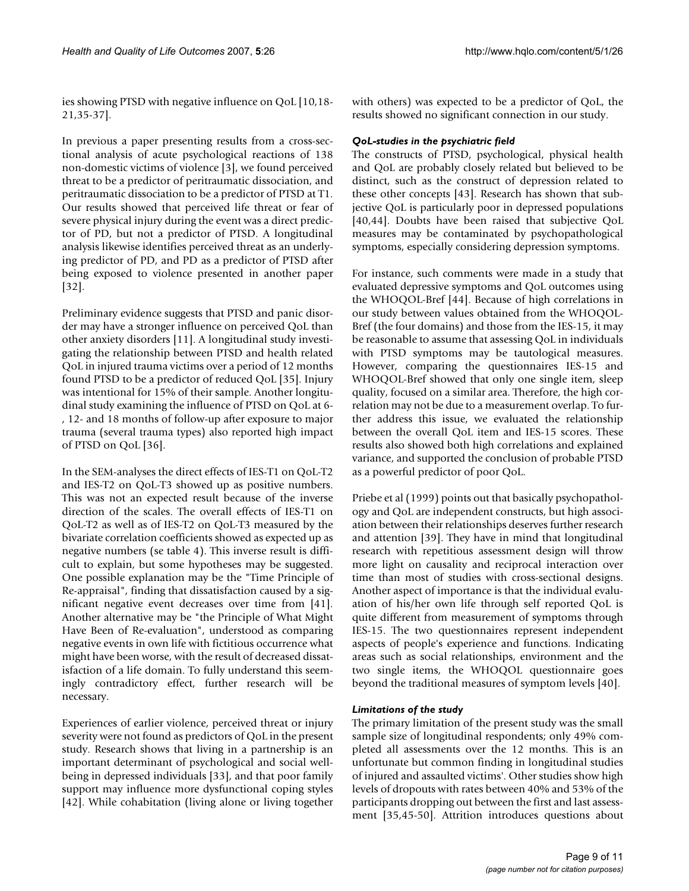ies showing PTSD with negative influence on QoL [10,18- 21,35-37].

In previous a paper presenting results from a cross-sectional analysis of acute psychological reactions of 138 non-domestic victims of violence [3], we found perceived threat to be a predictor of peritraumatic dissociation, and peritraumatic dissociation to be a predictor of PTSD at T1. Our results showed that perceived life threat or fear of severe physical injury during the event was a direct predictor of PD, but not a predictor of PTSD. A longitudinal analysis likewise identifies perceived threat as an underlying predictor of PD, and PD as a predictor of PTSD after being exposed to violence presented in another paper [32].

Preliminary evidence suggests that PTSD and panic disorder may have a stronger influence on perceived QoL than other anxiety disorders [11]. A longitudinal study investigating the relationship between PTSD and health related QoL in injured trauma victims over a period of 12 months found PTSD to be a predictor of reduced QoL [35]. Injury was intentional for 15% of their sample. Another longitudinal study examining the influence of PTSD on QoL at 6- , 12- and 18 months of follow-up after exposure to major trauma (several trauma types) also reported high impact of PTSD on QoL [36].

In the SEM-analyses the direct effects of IES-T1 on QoL-T2 and IES-T2 on QoL-T3 showed up as positive numbers. This was not an expected result because of the inverse direction of the scales. The overall effects of IES-T1 on QoL-T2 as well as of IES-T2 on QoL-T3 measured by the bivariate correlation coefficients showed as expected up as negative numbers (se table 4). This inverse result is difficult to explain, but some hypotheses may be suggested. One possible explanation may be the "Time Principle of Re-appraisal", finding that dissatisfaction caused by a significant negative event decreases over time from [41]. Another alternative may be "the Principle of What Might Have Been of Re-evaluation", understood as comparing negative events in own life with fictitious occurrence what might have been worse, with the result of decreased dissatisfaction of a life domain. To fully understand this seemingly contradictory effect, further research will be necessary.

Experiences of earlier violence, perceived threat or injury severity were not found as predictors of QoL in the present study. Research shows that living in a partnership is an important determinant of psychological and social wellbeing in depressed individuals [33], and that poor family support may influence more dysfunctional coping styles [42]. While cohabitation (living alone or living together with others) was expected to be a predictor of QoL, the results showed no significant connection in our study.

#### *QoL-studies in the psychiatric field*

The constructs of PTSD, psychological, physical health and QoL are probably closely related but believed to be distinct, such as the construct of depression related to these other concepts [43]. Research has shown that subjective QoL is particularly poor in depressed populations [40,44]. Doubts have been raised that subjective QoL measures may be contaminated by psychopathological symptoms, especially considering depression symptoms.

For instance, such comments were made in a study that evaluated depressive symptoms and QoL outcomes using the WHOQOL-Bref [44]. Because of high correlations in our study between values obtained from the WHOQOL-Bref (the four domains) and those from the IES-15, it may be reasonable to assume that assessing QoL in individuals with PTSD symptoms may be tautological measures. However, comparing the questionnaires IES-15 and WHOQOL-Bref showed that only one single item, sleep quality, focused on a similar area. Therefore, the high correlation may not be due to a measurement overlap. To further address this issue, we evaluated the relationship between the overall QoL item and IES-15 scores. These results also showed both high correlations and explained variance, and supported the conclusion of probable PTSD as a powerful predictor of poor QoL.

Priebe et al (1999) points out that basically psychopathology and QoL are independent constructs, but high association between their relationships deserves further research and attention [39]. They have in mind that longitudinal research with repetitious assessment design will throw more light on causality and reciprocal interaction over time than most of studies with cross-sectional designs. Another aspect of importance is that the individual evaluation of his/her own life through self reported QoL is quite different from measurement of symptoms through IES-15. The two questionnaires represent independent aspects of people's experience and functions. Indicating areas such as social relationships, environment and the two single items, the WHOQOL questionnaire goes beyond the traditional measures of symptom levels [40].

#### *Limitations of the study*

The primary limitation of the present study was the small sample size of longitudinal respondents; only 49% completed all assessments over the 12 months. This is an unfortunate but common finding in longitudinal studies of injured and assaulted victims'. Other studies show high levels of dropouts with rates between 40% and 53% of the participants dropping out between the first and last assessment [35,45-50]. Attrition introduces questions about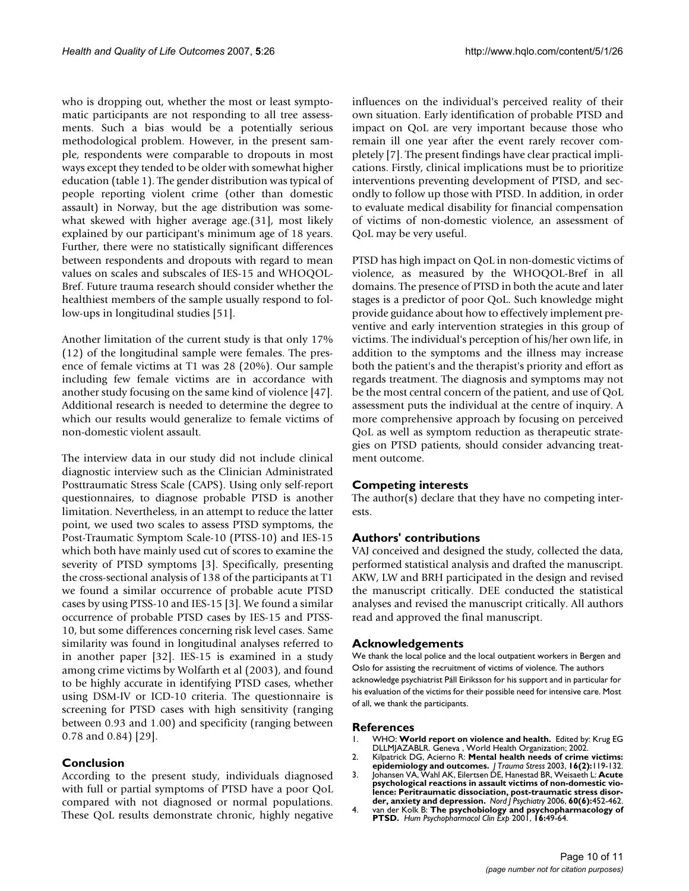who is dropping out, whether the most or least symptomatic participants are not responding to all tree assessments. Such a bias would be a potentially serious methodological problem. However, in the present sample, respondents were comparable to dropouts in most ways except they tended to be older with somewhat higher education (table 1). The gender distribution was typical of people reporting violent crime (other than domestic assault) in Norway, but the age distribution was somewhat skewed with higher average age.(31], most likely explained by our participant's minimum age of 18 years. Further, there were no statistically significant differences between respondents and dropouts with regard to mean values on scales and subscales of IES-15 and WHOQOL-Bref. Future trauma research should consider whether the healthiest members of the sample usually respond to follow-ups in longitudinal studies [51].

Another limitation of the current study is that only 17% (12) of the longitudinal sample were females. The presence of female victims at T1 was 28 (20%). Our sample including few female victims are in accordance with another study focusing on the same kind of violence [47]. Additional research is needed to determine the degree to which our results would generalize to female victims of non-domestic violent assault.

The interview data in our study did not include clinical diagnostic interview such as the Clinician Administrated Posttraumatic Stress Scale (CAPS). Using only self-report questionnaires, to diagnose probable PTSD is another limitation. Nevertheless, in an attempt to reduce the latter point, we used two scales to assess PTSD symptoms, the Post-Traumatic Symptom Scale-10 (PTSS-10) and IES-15 which both have mainly used cut of scores to examine the severity of PTSD symptoms [3]. Specifically, presenting the cross-sectional analysis of 138 of the participants at T1 we found a similar occurrence of probable acute PTSD cases by using PTSS-10 and IES-15 [3]. We found a similar occurrence of probable PTSD cases by IES-15 and PTSS-10, but some differences concerning risk level cases. Same similarity was found in longitudinal analyses referred to in another paper [32]. IES-15 is examined in a study among crime victims by Wolfarth et al (2003), and found to be highly accurate in identifying PTSD cases, whether using DSM-IV or ICD-10 criteria. The questionnaire is screening for PTSD cases with high sensitivity (ranging between 0.93 and 1.00) and specificity (ranging between 0.78 and 0.84) [29].

#### **Conclusion**

According to the present study, individuals diagnosed with full or partial symptoms of PTSD have a poor QoL compared with not diagnosed or normal populations. These QoL results demonstrate chronic, highly negative influences on the individual's perceived reality of their own situation. Early identification of probable PTSD and impact on QoL are very important because those who remain ill one year after the event rarely recover completely [7]. The present findings have clear practical implications. Firstly, clinical implications must be to prioritize interventions preventing development of PTSD, and secondly to follow up those with PTSD. In addition, in order to evaluate medical disability for financial compensation of victims of non-domestic violence, an assessment of QoL may be very useful.

PTSD has high impact on QoL in non-domestic victims of violence, as measured by the WHOQOL-Bref in all domains. The presence of PTSD in both the acute and later stages is a predictor of poor QoL. Such knowledge might provide guidance about how to effectively implement preventive and early intervention strategies in this group of victims. The individual's perception of his/her own life, in addition to the symptoms and the illness may increase both the patient's and the therapist's priority and effort as regards treatment. The diagnosis and symptoms may not be the most central concern of the patient, and use of QoL assessment puts the individual at the centre of inquiry. A more comprehensive approach by focusing on perceived QoL as well as symptom reduction as therapeutic strategies on PTSD patients, should consider advancing treatment outcome.

#### **Competing interests**

The author(s) declare that they have no competing interests.

#### **Authors' contributions**

VAJ conceived and designed the study, collected the data, performed statistical analysis and drafted the manuscript. AKW, LW and BRH participated in the design and revised the manuscript critically. DEE conducted the statistical analyses and revised the manuscript critically. All authors read and approved the final manuscript.

#### **Acknowledgements**

We thank the local police and the local outpatient workers in Bergen and Oslo for assisting the recruitment of victims of violence. The authors acknowledge psychiatrist Páll Eiriksson for his support and in particular for his evaluation of the victims for their possible need for intensive care. Most of all, we thank the participants.

#### **References**

- 1. WHO: **World report on violence and health.** Edited by: Krug EG DLLMJAZABLR. Geneva , World Health Organization; 2002.
- 2. Kilpatrick DG, Acierno R: **[Mental health needs of crime victims:](http://www.ncbi.nlm.nih.gov/entrez/query.fcgi?cmd=Retrieve&db=PubMed&dopt=Abstract&list_uids=12699200) [epidemiology and outcomes.](http://www.ncbi.nlm.nih.gov/entrez/query.fcgi?cmd=Retrieve&db=PubMed&dopt=Abstract&list_uids=12699200)** *J Trauma Stress* 2003, **16(2):**119-132.
- 3. Johansen VA, Wahl AK, Eilertsen DE, Hanestad BR, Weisaeth L: **[Acute](http://www.ncbi.nlm.nih.gov/entrez/query.fcgi?cmd=Retrieve&db=PubMed&dopt=Abstract&list_uids=17162453) psychological reactions in assault victims of non-domestic vio-[lence: Peritraumatic dissociation, post-traumatic stress disor](http://www.ncbi.nlm.nih.gov/entrez/query.fcgi?cmd=Retrieve&db=PubMed&dopt=Abstract&list_uids=17162453)[der, anxiety and depression.](http://www.ncbi.nlm.nih.gov/entrez/query.fcgi?cmd=Retrieve&db=PubMed&dopt=Abstract&list_uids=17162453)** *Nord J Psychiatry* 2006, **60(6):**452-462.
- 4. van der Kolk B: **The psychobiology and psychopharmacology of PTSD.** *Hum Psychopharmacol Clin Exp* 2001, **16:**49-64.